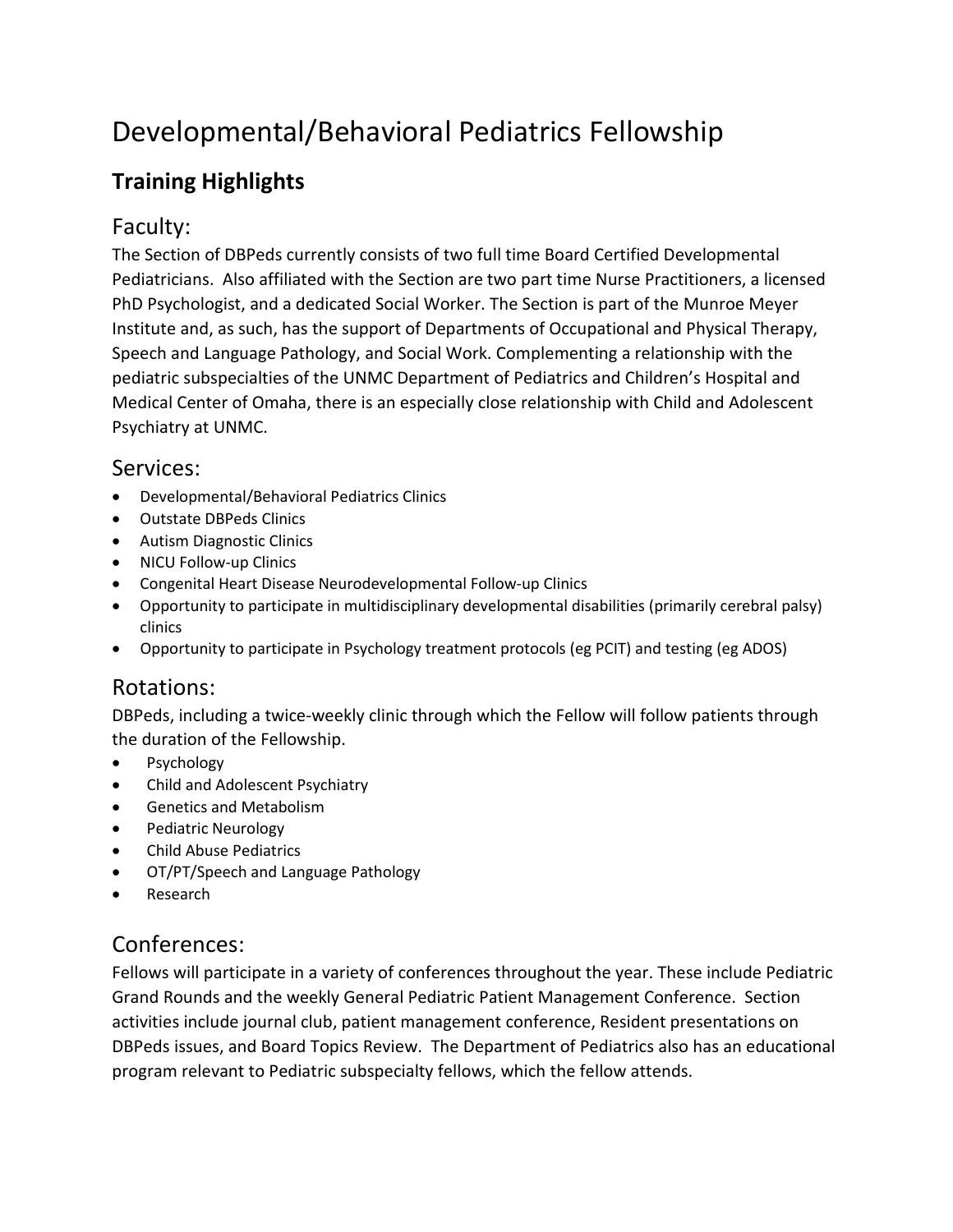# Developmental/Behavioral Pediatrics Fellowship

# **Training Highlights**

## Faculty:

The Section of DBPeds currently consists of two full time Board Certified Developmental Pediatricians. Also affiliated with the Section are two part time Nurse Practitioners, a licensed PhD Psychologist, and a dedicated Social Worker. The Section is part of the Munroe Meyer Institute and, as such, has the support of Departments of Occupational and Physical Therapy, Speech and Language Pathology, and Social Work. Complementing a relationship with the pediatric subspecialties of the UNMC Department of Pediatrics and Children's Hospital and Medical Center of Omaha, there is an especially close relationship with Child and Adolescent Psychiatry at UNMC.

#### Services:

- Developmental/Behavioral Pediatrics Clinics
- Outstate DBPeds Clinics
- Autism Diagnostic Clinics
- NICU Follow-up Clinics
- Congenital Heart Disease Neurodevelopmental Follow-up Clinics
- Opportunity to participate in multidisciplinary developmental disabilities (primarily cerebral palsy) clinics
- Opportunity to participate in Psychology treatment protocols (eg PCIT) and testing (eg ADOS)

## Rotations:

DBPeds, including a twice-weekly clinic through which the Fellow will follow patients through the duration of the Fellowship.

- Psychology
- Child and Adolescent Psychiatry
- Genetics and Metabolism
- Pediatric Neurology
- Child Abuse Pediatrics
- OT/PT/Speech and Language Pathology
- Research

## Conferences:

Fellows will participate in a variety of conferences throughout the year. These include Pediatric Grand Rounds and the weekly General Pediatric Patient Management Conference. Section activities include journal club, patient management conference, Resident presentations on DBPeds issues, and Board Topics Review. The Department of Pediatrics also has an educational program relevant to Pediatric subspecialty fellows, which the fellow attends.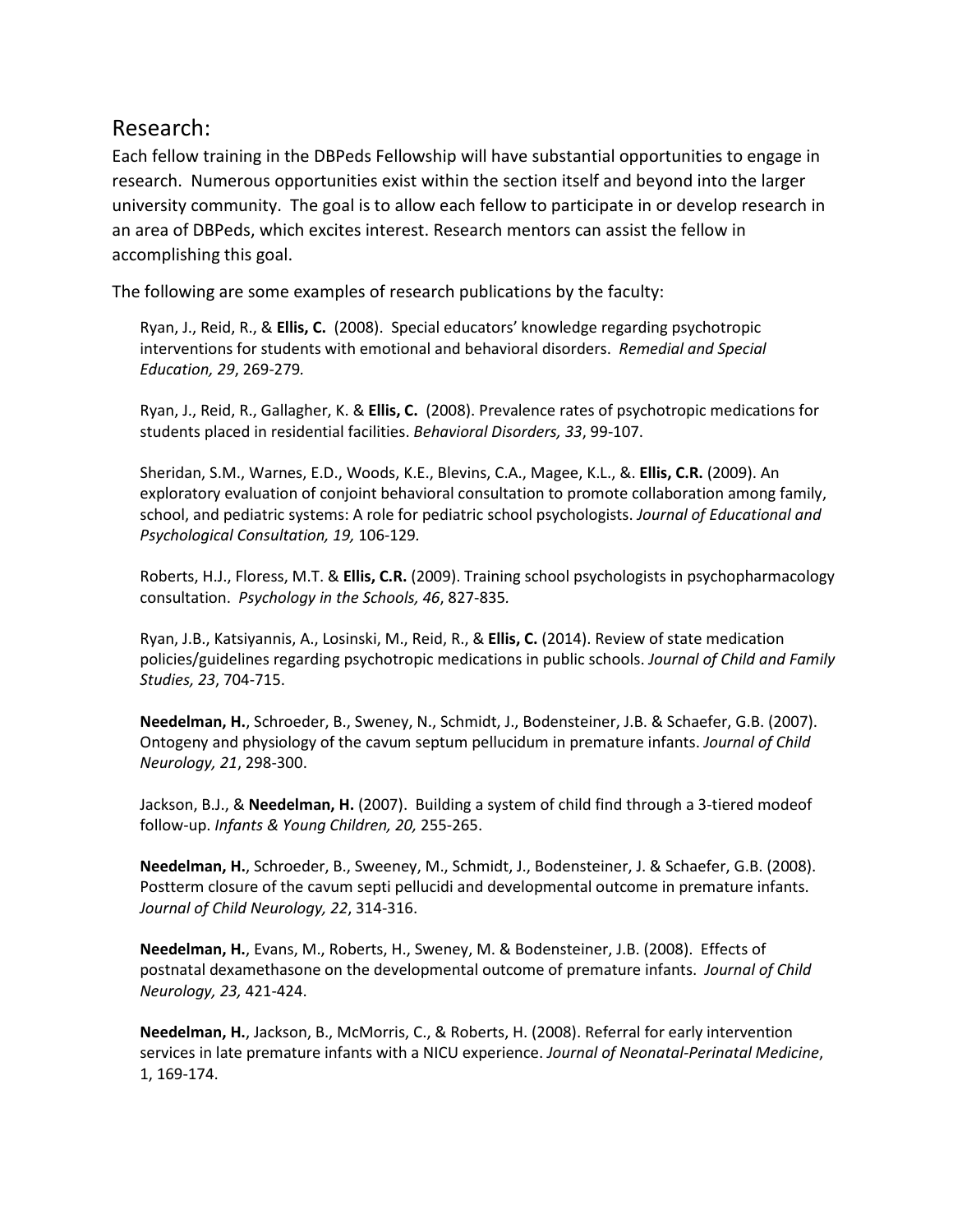#### Research:

Each fellow training in the DBPeds Fellowship will have substantial opportunities to engage in research. Numerous opportunities exist within the section itself and beyond into the larger university community. The goal is to allow each fellow to participate in or develop research in an area of DBPeds, which excites interest. Research mentors can assist the fellow in accomplishing this goal.

The following are some examples of research publications by the faculty:

Ryan, J., Reid, R., & **Ellis, C.** (2008). Special educators' knowledge regarding psychotropic interventions for students with emotional and behavioral disorders. *Remedial and Special Education, 29*, 269-279*.*

Ryan, J., Reid, R., Gallagher, K. & **Ellis, C.** (2008). Prevalence rates of psychotropic medications for students placed in residential facilities. *Behavioral Disorders, 33*, 99-107.

Sheridan, S.M., Warnes, E.D., Woods, K.E., Blevins, C.A., Magee, K.L., &. **Ellis, C.R.** (2009). An exploratory evaluation of conjoint behavioral consultation to promote collaboration among family, school, and pediatric systems: A role for pediatric school psychologists. *Journal of Educational and Psychological Consultation, 19,* 106-129*.*

Roberts, H.J., Floress, M.T. & **Ellis, C.R.** (2009). Training school psychologists in psychopharmacology consultation. *Psychology in the Schools, 46*, 827-835*.*

Ryan, J.B., Katsiyannis, A., Losinski, M., Reid, R., & **Ellis, C.** (2014). Review of state medication policies/guidelines regarding psychotropic medications in public schools. *Journal of Child and Family Studies, 23*, 704-715.

**Needelman, H.**, Schroeder, B., Sweney, N., Schmidt, J., Bodensteiner, J.B. & Schaefer, G.B. (2007). Ontogeny and physiology of the cavum septum pellucidum in premature infants. *Journal of Child Neurology, 21*, 298-300.

Jackson, B.J., & **Needelman, H.** (2007). Building a system of child find through a 3-tiered modeof follow-up. *Infants & Young Children, 20,* 255-265.

**Needelman, H.**, Schroeder, B., Sweeney, M., Schmidt, J., Bodensteiner, J. & Schaefer, G.B. (2008). Postterm closure of the cavum septi pellucidi and developmental outcome in premature infants. *Journal of Child Neurology, 22*, 314-316.

**Needelman, H.**, Evans, M., Roberts, H., Sweney, M. & Bodensteiner, J.B. (2008). Effects of postnatal dexamethasone on the developmental outcome of premature infants. *Journal of Child Neurology, 23,* 421-424.

**Needelman, H.**, Jackson, B., McMorris, C., & Roberts, H. (2008). Referral for early intervention services in late premature infants with a NICU experience. *Journal of Neonatal-Perinatal Medicine*, 1, 169-174.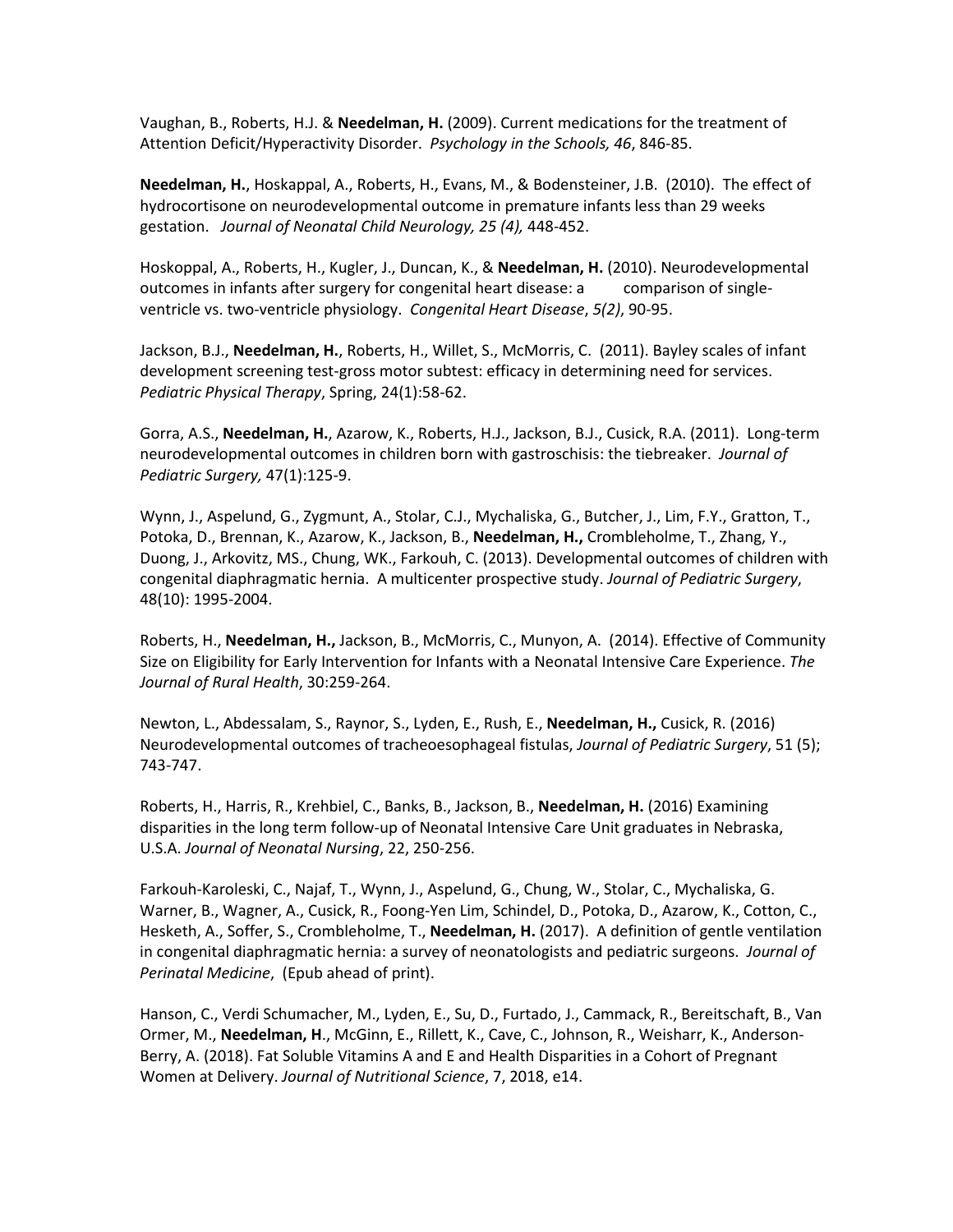Vaughan, B., Roberts, H.J. & **Needelman, H.** (2009). Current medications for the treatment of Attention Deficit/Hyperactivity Disorder. *Psychology in the Schools, 46*, 846-85.

**Needelman, H.**, Hoskappal, A., Roberts, H., Evans, M., & Bodensteiner, J.B. (2010). The effect of hydrocortisone on neurodevelopmental outcome in premature infants less than 29 weeks gestation. *Journal of Neonatal Child Neurology, 25 (4),* 448-452.

Hoskoppal, A., Roberts, H., Kugler, J., Duncan, K., & **Needelman, H.** (2010). Neurodevelopmental outcomes in infants after surgery for congenital heart disease: a comparison of singleventricle vs. two-ventricle physiology. *Congenital Heart Disease*, *5(2)*, 90-95.

Jackson, B.J., **Needelman, H.**, Roberts, H., Willet, S., McMorris, C. (2011). Bayley scales of infant development screening test-gross motor subtest: efficacy in determining need for services. *Pediatric Physical Therapy*, Spring, 24(1):58-62.

Gorra, A.S., **Needelman, H.**, Azarow, K., Roberts, H.J., Jackson, B.J., Cusick, R.A. (2011). Long-term neurodevelopmental outcomes in children born with gastroschisis: the tiebreaker. *Journal of Pediatric Surgery,* 47(1):125-9.

Wynn, J., Aspelund, G., Zygmunt, A., Stolar, C.J., Mychaliska, G., Butcher, J., Lim, F.Y., Gratton, T., Potoka, D., Brennan, K., Azarow, K., Jackson, B., **Needelman, H.,** Crombleholme, T., Zhang, Y., Duong, J., Arkovitz, MS., Chung, WK., Farkouh, C. (2013). Developmental outcomes of children with congenital diaphragmatic hernia. A multicenter prospective study. *Journal of Pediatric Surgery*, 48(10): 1995-2004.

Roberts, H., **Needelman, H.,** Jackson, B., McMorris, C., Munyon, A. (2014). Effective of Community Size on Eligibility for Early Intervention for Infants with a Neonatal Intensive Care Experience. *The Journal of Rural Health*, 30:259-264.

Newton, L., Abdessalam, S., Raynor, S., Lyden, E., Rush, E., **Needelman, H.,** Cusick, R. (2016) Neurodevelopmental outcomes of tracheoesophageal fistulas, *Journal of Pediatric Surgery*, 51 (5); 743-747.

Roberts, H., Harris, R., Krehbiel, C., Banks, B., Jackson, B., **Needelman, H.** (2016) Examining disparities in the long term follow-up of Neonatal Intensive Care Unit graduates in Nebraska, U.S.A. *Journal of Neonatal Nursing*, 22, 250-256.

Farkouh-Karoleski, C., Najaf, T., Wynn, J., Aspelund, G., Chung, W., Stolar, C., Mychaliska, G. Warner, B., Wagner, A., Cusick, R., Foong-Yen Lim, Schindel, D., Potoka, D., Azarow, K., Cotton, C., Hesketh, A., Soffer, S., Crombleholme, T., **Needelman, H.** (2017). A definition of gentle ventilation in congenital diaphragmatic hernia: a survey of neonatologists and pediatric surgeons. *Journal of Perinatal Medicine*, (Epub ahead of print).

Hanson, C., Verdi Schumacher, M., Lyden, E., Su, D., Furtado, J., Cammack, R., Bereitschaft, B., Van Ormer, M., **Needelman, H**., McGinn, E., Rillett, K., Cave, C., Johnson, R., Weisharr, K., Anderson-Berry, A. (2018). Fat Soluble Vitamins A and E and Health Disparities in a Cohort of Pregnant Women at Delivery. *Journal of Nutritional Science*, 7, 2018, e14.